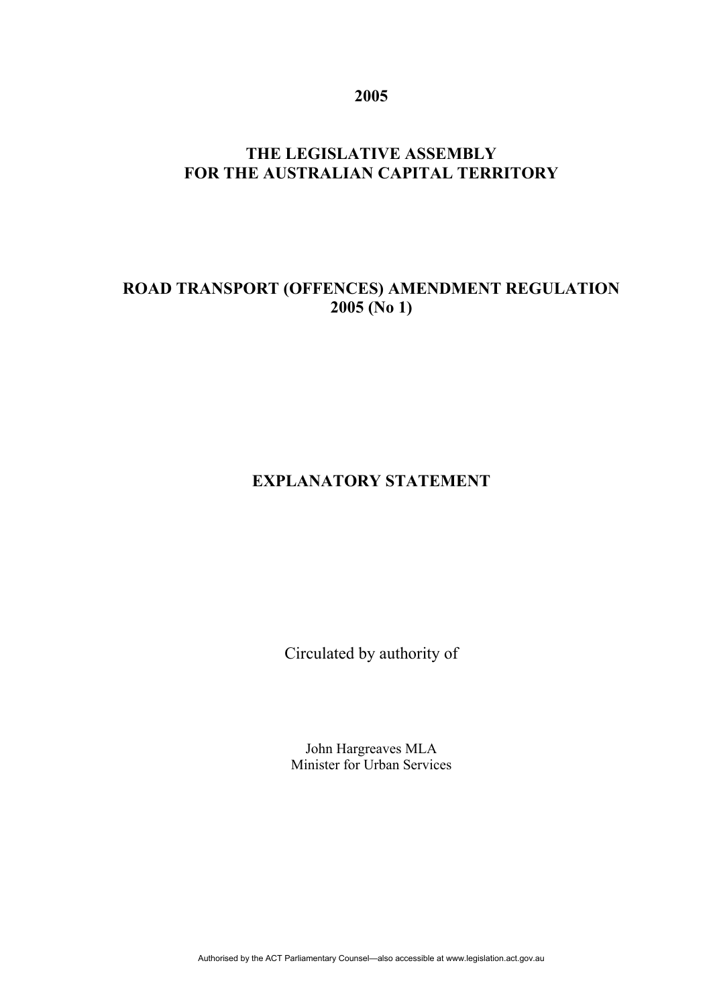**2005** 

# **THE LEGISLATIVE ASSEMBLY FOR THE AUSTRALIAN CAPITAL TERRITORY**

# **ROAD TRANSPORT (OFFENCES) AMENDMENT REGULATION 2005 (No 1)**

### **EXPLANATORY STATEMENT**

Circulated by authority of

John Hargreaves MLA Minister for Urban Services